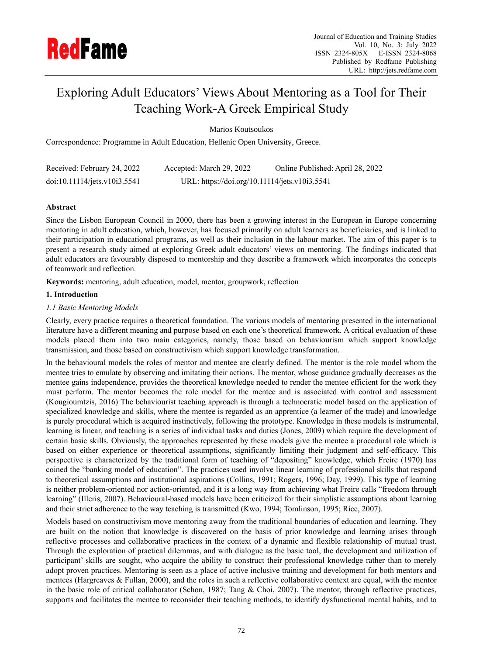

# Exploring Adult Educators' Views About Mentoring as a Tool for Their Teaching Work-A Greek Empirical Study

Marios Koutsoukos

Correspondence: Programme in Adult Education, Hellenic Open University, Greece.

| Received: February 24, 2022  | Accepted: March 29, 2022                      | Online Published: April 28, 2022 |
|------------------------------|-----------------------------------------------|----------------------------------|
| doi:10.11114/jets.v10i3.5541 | URL: https://doi.org/10.11114/jets.v10i3.5541 |                                  |

## **Abstract**

Since the Lisbon European Council in 2000, there has been a growing interest in the European in Europe concerning mentoring in adult education, which, however, has focused primarily on adult learners as beneficiaries, and is linked to their participation in educational programs, as well as their inclusion in the labour market. The aim of this paper is to present a research study aimed at exploring Greek adult educators' views on mentoring. The findings indicated that adult educators are favourably disposed to mentorship and they describe a framework which incorporates the concepts of teamwork and reflection.

**Keywords:** mentoring, adult education, model, mentor, groupwork, reflection

## **1. Introduction**

## *1.1 Basic Mentoring Models*

Clearly, every practice requires a theoretical foundation. The various models of mentoring presented in the international literature have a different meaning and purpose based on each one's theoretical framework. A critical evaluation of these models placed them into two main categories, namely, those based on behaviourism which support knowledge transmission, and those based on constructivism which support knowledge transformation.

In the behavioural models the roles of mentor and mentee are clearly defined. The mentor is the role model whom the mentee tries to emulate by observing and imitating their actions. The mentor, whose guidance gradually decreases as the mentee gains independence, provides the theoretical knowledge needed to render the mentee efficient for the work they must perform. The mentor becomes the role model for the mentee and is associated with control and assessment (Kougioumtzis, 2016) The behaviourist teaching approach is through a technocratic model based on the application of specialized knowledge and skills, where the mentee is regarded as an apprentice (a learner of the trade) and knowledge is purely procedural which is acquired instinctively, following the prototype. Knowledge in these models is instrumental, learning is linear, and teaching is a series of individual tasks and duties (Jones, 2009) which require the development of certain basic skills. Obviously, the approaches represented by these models give the mentee a procedural role which is based on either experience or theoretical assumptions, significantly limiting their judgment and self-efficacy. This perspective is characterized by the traditional form of teaching of "depositing" knowledge, which Freire (1970) has coined the "banking model of education". The practices used involve linear learning of professional skills that respond to theoretical assumptions and institutional aspirations (Collins, 1991; Rogers, 1996; Day, 1999). This type of learning is neither problem-oriented nor action-oriented, and it is a long way from achieving what Freire calls "freedom through learning" (Illeris, 2007). Behavioural-based models have been criticized for their simplistic assumptions about learning and their strict adherence to the way teaching is transmitted (Kwo, 1994; Tomlinson, 1995; Rice, 2007).

Models based on constructivism move mentoring away from the traditional boundaries of education and learning. They are built on the notion that knowledge is discovered on the basis of prior knowledge and learning arises through reflective processes and collaborative practices in the context of a dynamic and flexible relationship of mutual trust. Through the exploration of practical dilemmas, and with dialogue as the basic tool, the development and utilization of participant' skills are sought, who acquire the ability to construct their professional knowledge rather than to merely adopt proven practices. Mentoring is seen as a place of active inclusive training and development for both mentors and mentees (Hargreaves & Fullan, 2000), and the roles in such a reflective collaborative context are equal, with the mentor in the basic role of critical collaborator (Schon, 1987; Tang & Choi, 2007). The mentor, through reflective practices, supports and facilitates the mentee to reconsider their teaching methods, to identify dysfunctional mental habits, and to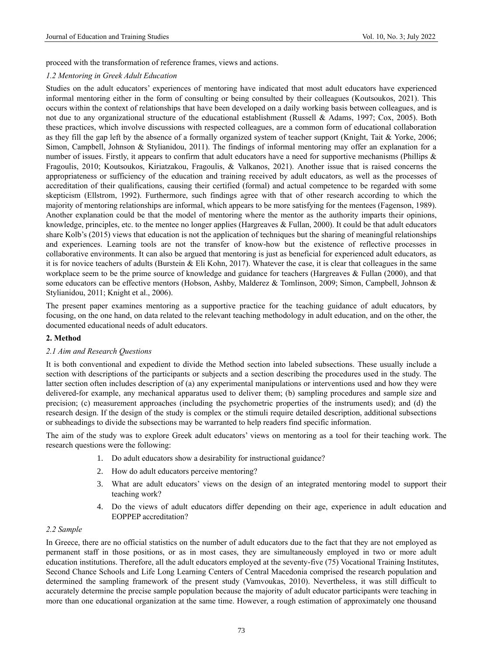proceed with the transformation of reference frames, views and actions.

#### *1.2 Mentoring in Greek Adult Education*

Studies on the adult educators' experiences of mentoring have indicated that most adult educators have experienced informal mentoring either in the form of consulting or being consulted by their colleagues (Koutsoukos, 2021). This occurs within the context of relationships that have been developed on a daily working basis between colleagues, and is not due to any organizational structure of the educational establishment (Russell & Adams, 1997; Cox, 2005). Both these practices, which involve discussions with respected colleagues, are a common form of educational collaboration as they fill the gap left by the absence of a formally organized system of teacher support (Knight, Tait & Yorke, 2006; Simon, Campbell, Johnson & Stylianidou, 2011). The findings of informal mentoring may offer an explanation for a number of issues. Firstly, it appears to confirm that adult educators have a need for supportive mechanisms (Phillips & Fragoulis, 2010; Koutsoukos, Kiriatzakou, Fragoulis, & Valkanos, 2021). Another issue that is raised concerns the appropriateness or sufficiency of the education and training received by adult educators, as well as the processes of accreditation of their qualifications, causing their certified (formal) and actual competence to be regarded with some skepticism (Ellstrom, 1992). Furthermore, such findings agree with that of other research according to which the majority of mentoring relationships are informal, which appears to be more satisfying for the mentees (Fagenson, 1989). Another explanation could be that the model of mentoring where the mentor as the authority imparts their opinions, knowledge, principles, etc. to the mentee no longer applies (Hargreaves & Fullan, 2000). It could be that adult educators share Kolb's (2015) views that education is not the application of techniques but the sharing of meaningful relationships and experiences. Learning tools are not the transfer of know-how but the existence of reflective processes in collaborative environments. It can also be argued that mentoring is just as beneficial for experienced adult educators, as it is for novice teachers of adults (Burstein & Eli Kohn, 2017). Whatever the case, it is clear that colleagues in the same workplace seem to be the prime source of knowledge and guidance for teachers (Hargreaves & Fullan (2000), and that some educators can be effective mentors (Hobson, Ashby, Malderez & Tomlinson, 2009; Simon, Campbell, Johnson & Stylianidou, 2011; Knight et al., 2006).

The present paper examines mentoring as a supportive practice for the teaching guidance of adult educators, by focusing, on the one hand, on data related to the relevant teaching methodology in adult education, and on the other, the documented educational needs of adult educators.

## **2. Method**

#### *2.1 Aim and Research Questions*

It is both conventional and expedient to divide the Method section into labeled subsections. These usually include a section with descriptions of the participants or subjects and a section describing the procedures used in the study. The latter section often includes description of (a) any experimental manipulations or interventions used and how they were delivered-for example, any mechanical apparatus used to deliver them; (b) sampling procedures and sample size and precision; (c) measurement approaches (including the psychometric properties of the instruments used); and (d) the research design. If the design of the study is complex or the stimuli require detailed description, additional subsections or subheadings to divide the subsections may be warranted to help readers find specific information.

The aim of the study was to explore Greek adult educators' views on mentoring as a tool for their teaching work. The research questions were the following:

- 1. Do adult educators show a desirability for instructional guidance?
- 2. How do adult educators perceive mentoring?
- 3. What are adult educators' views on the design of an integrated mentoring model to support their teaching work?
- 4. Do the views of adult educators differ depending on their age, experience in adult education and EOPPEP accreditation?

#### *2.2 Sample*

In Greece, there are no official statistics on the number of adult educators due to the fact that they are not employed as permanent staff in those positions, or as in most cases, they are simultaneously employed in two or more adult education institutions. Therefore, all the adult educators employed at the seventy-five (75) Vocational Training Institutes, Second Chance Schools and Life Long Learning Centers of Central Macedonia comprised the research population and determined the sampling framework of the present study (Vamvoukas, 2010). Nevertheless, it was still difficult to accurately determine the precise sample population because the majority of adult educator participants were teaching in more than one educational organization at the same time. However, a rough estimation of approximately one thousand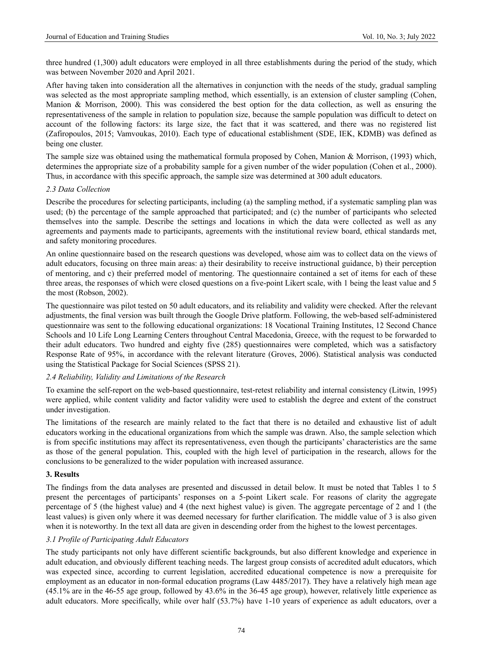three hundred (1,300) adult educators were employed in all three establishments during the period of the study, which was between November 2020 and April 2021.

After having taken into consideration all the alternatives in conjunction with the needs of the study, gradual sampling was selected as the most appropriate sampling method, which essentially, is an extension of cluster sampling (Cohen, Manion & Morrison, 2000). This was considered the best option for the data collection, as well as ensuring the representativeness of the sample in relation to population size, because the sample population was difficult to detect on account of the following factors: its large size, the fact that it was scattered, and there was no registered list (Zafiropoulos, 2015; Vamvoukas, 2010). Each type of educational establishment (SDE, IEK, KDMB) was defined as being one cluster.

The sample size was obtained using the mathematical formula proposed by Cohen, Manion & Morrison, (1993) which, determines the appropriate size of a probability sample for a given number of the wider population (Cohen et al., 2000). Thus, in accordance with this specific approach, the sample size was determined at 300 adult educators.

#### *2.3 Data Collection*

Describe the procedures for selecting participants, including (a) the sampling method, if a systematic sampling plan was used; (b) the percentage of the sample approached that participated; and (c) the number of participants who selected themselves into the sample. Describe the settings and locations in which the data were collected as well as any agreements and payments made to participants, agreements with the institutional review board, ethical standards met, and safety monitoring procedures.

An online questionnaire based on the research questions was developed, whose aim was to collect data on the views of adult educators, focusing on three main areas: a) their desirability to receive instructional guidance, b) their perception of mentoring, and c) their preferred model of mentoring. The questionnaire contained a set of items for each of these three areas, the responses of which were closed questions on a five-point Likert scale, with 1 being the least value and 5 the most (Robson, 2002).

The questionnaire was pilot tested on 50 adult educators, and its reliability and validity were checked. After the relevant adjustments, the final version was built through the Google Drive platform. Following, the web-based self-administered questionnaire was sent to the following educational organizations: 18 Vocational Training Institutes, 12 Second Chance Schools and 10 Life Long Learning Centers throughout Central Macedonia, Greece, with the request to be forwarded to their adult educators. Two hundred and eighty five (285) questionnaires were completed, which was a satisfactory Response Rate of 95%, in accordance with the relevant literature (Groves, 2006). Statistical analysis was conducted using the Statistical Package for Social Sciences (SPSS 21).

#### *2.4 Reliability, Validity and Limitations of the Research*

To examine the self-report on the web-based questionnaire, test-retest reliability and internal consistency (Litwin, 1995) were applied, while content validity and factor validity were used to establish the degree and extent of the construct under investigation.

The limitations of the research are mainly related to the fact that there is no detailed and exhaustive list of adult educators working in the educational organizations from which the sample was drawn. Also, the sample selection which is from specific institutions may affect its representativeness, even though the participants' characteristics are the same as those of the general population. This, coupled with the high level of participation in the research, allows for the conclusions to be generalized to the wider population with increased assurance.

## **3. Results**

The findings from the data analyses are presented and discussed in detail below. It must be noted that Tables 1 to 5 present the percentages of participants' responses on a 5-point Likert scale. For reasons of clarity the aggregate percentage of 5 (the highest value) and 4 (the next highest value) is given. The aggregate percentage of 2 and 1 (the least values) is given only where it was deemed necessary for further clarification. The middle value of 3 is also given when it is noteworthy. In the text all data are given in descending order from the highest to the lowest percentages.

#### *3.1 Profile of Participating Adult Educators*

The study participants not only have different scientific backgrounds, but also different knowledge and experience in adult education, and obviously different teaching needs. The largest group consists of accredited adult educators, which was expected since, according to current legislation, accredited educational competence is now a prerequisite for employment as an educator in non-formal education programs (Law 4485/2017). They have a relatively high mean age (45.1% are in the 46-55 age group, followed by 43.6% in the 36-45 age group), however, relatively little experience as adult educators. More specifically, while over half (53.7%) have 1-10 years of experience as adult educators, over a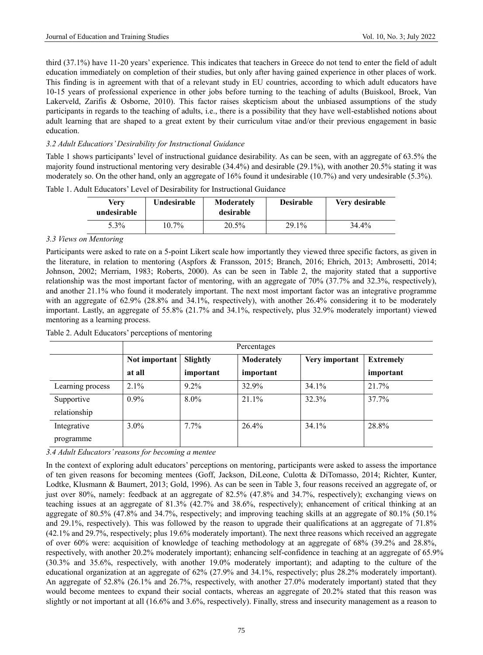third (37.1%) have 11-20 years' experience. This indicates that teachers in Greece do not tend to enter the field of adult education immediately on completion of their studies, but only after having gained experience in other places of work. This finding is in agreement with that of a relevant study in EU countries, according to which adult educators have 10-15 years of professional experience in other jobs before turning to the teaching of adults (Buiskool, Broek, Van Lakerveld, Zarifis & Osborne, 2010). This factor raises skepticism about the unbiased assumptions of the study participants in regards to the teaching of adults, i.e., there is a possibility that they have well-established notions about adult learning that are shaped to a great extent by their curriculum vitae and/or their previous engagement in basic education.

## *3.2 Adult Educatiors' Desirability for Instructional Guidance*

Table 1 shows participants' level of instructional guidance desirability. As can be seen, with an aggregate of 63.5% the majority found instructional mentoring very desirable (34.4%) and desirable (29.1%), with another 20.5% stating it was moderately so. On the other hand, only an aggregate of 16% found it undesirable (10.7%) and very undesirable (5.3%).

| Verv<br>undesirable | Undesirable | Moderately<br>desirable | <b>Desirable</b> | Very desirable |
|---------------------|-------------|-------------------------|------------------|----------------|
| 5.3%                | $10.7\%$    | 20.5%                   | 29.1%            | 34.4%          |

Table 1. Adult Educators' Level of Desirability for Instructional Guidance

## *3.3 Views on Mentoring*

Participants were asked to rate on a 5-point Likert scale how importantly they viewed three specific factors, as given in the literature, in relation to mentoring (Aspfors & Fransson, 2015; Branch, 2016; Ehrich, 2013; Ambrosetti, 2014; Johnson, 2002; Merriam, 1983; Roberts, 2000). As can be seen in Table 2, the majority stated that a supportive relationship was the most important factor of mentoring, with an aggregate of 70% (37.7% and 32.3%, respectively), and another 21.1% who found it moderately important. The next most important factor was an integrative programme with an aggregate of 62.9% (28.8% and 34.1%, respectively), with another 26.4% considering it to be moderately important. Lastly, an aggregate of 55.8% (21.7% and 34.1%, respectively, plus 32.9% moderately important) viewed mentoring as a learning process.

|                  | Percentages   |                                                              |           |       |           |  |  |  |  |  |
|------------------|---------------|--------------------------------------------------------------|-----------|-------|-----------|--|--|--|--|--|
|                  | Not important | Slightly<br>Very important<br>Moderately<br><b>Extremely</b> |           |       |           |  |  |  |  |  |
|                  | at all        | important                                                    | important |       | important |  |  |  |  |  |
| Learning process | $2.1\%$       | $9.2\%$                                                      | 32.9%     | 34.1% | 21.7%     |  |  |  |  |  |
| Supportive       | $0.9\%$       | $8.0\%$                                                      | $21.1\%$  | 32.3% | 37.7%     |  |  |  |  |  |
| relationship     |               |                                                              |           |       |           |  |  |  |  |  |
| Integrative      | $3.0\%$       | $7.7\%$                                                      | 26.4%     | 34.1% | 28.8%     |  |  |  |  |  |
| programme        |               |                                                              |           |       |           |  |  |  |  |  |

Table 2. Adult Educators' perceptions of mentoring

*3.4 Adult Educators' reasons for becoming a mentee*

In the context of exploring adult educators' perceptions on mentoring, participants were asked to assess the importance of ten given reasons for becoming mentees (Goff, Jackson, DiLeone, Culotta & DiTomasso, 2014; Richter, Kunter, Lodtke, Klusmann & Baumert, 2013; Gold, 1996). As can be seen in Table 3, four reasons received an aggregate of, or just over 80%, namely: feedback at an aggregate of 82.5% (47.8% and 34.7%, respectively); exchanging views on teaching issues at an aggregate of 81.3% (42.7% and 38.6%, respectively); enhancement of critical thinking at an aggregate of 80.5% (47.8% and 34.7%, respectively; and improving teaching skills at an aggregate of 80.1% (50.1% and 29.1%, respectively). This was followed by the reason to upgrade their qualifications at an aggregate of 71.8% (42.1% and 29.7%, respectively; plus 19.6% moderately important). The next three reasons which received an aggregate of over 60% were: acquisition of knowledge of teaching methodology at an aggregate of 68% (39.2% and 28.8%, respectively, with another 20.2% moderately important); enhancing self-confidence in teaching at an aggregate of 65.9% (30.3% and 35.6%, respectively, with another 19.0% moderately important); and adapting to the culture of the educational organization at an aggregate of 62% (27.9% and 34.1%, respectively; plus 28.2% moderately important). An aggregate of 52.8% (26.1% and 26.7%, respectively, with another 27.0% moderately important) stated that they would become mentees to expand their social contacts, whereas an aggregate of 20.2% stated that this reason was slightly or not important at all (16.6% and 3.6%, respectively). Finally, stress and insecurity management as a reason to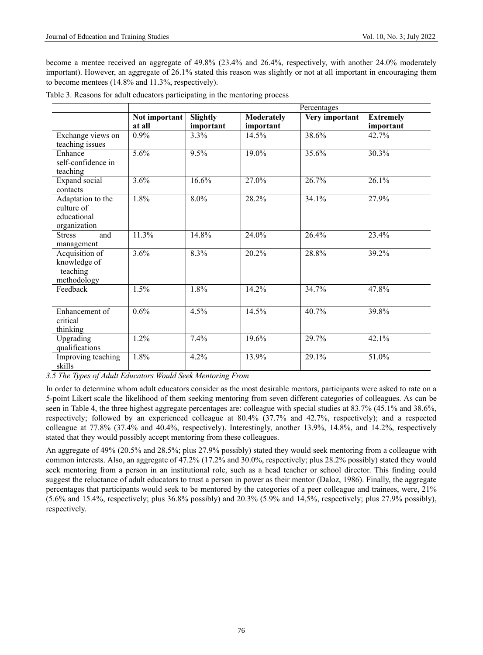become a mentee received an aggregate of 49.8% (23.4% and 26.4%, respectively, with another 24.0% moderately important). However, an aggregate of 26.1% stated this reason was slightly or not at all important in encouraging them to become mentees (14.8% and 11.3%, respectively).

|                                                                | Percentages             |                       |                                |                |                               |  |  |
|----------------------------------------------------------------|-------------------------|-----------------------|--------------------------------|----------------|-------------------------------|--|--|
|                                                                | Not important<br>at all | Slightly<br>important | <b>Moderately</b><br>important | Very important | <b>Extremely</b><br>important |  |  |
| Exchange views on<br>teaching issues                           | 0.9%                    | 3.3%                  | 14.5%                          | 38.6%          | 42.7%                         |  |  |
| Enhance<br>self-confidence in<br>teaching                      | 5.6%                    | 9.5%                  | 19.0%                          | 35.6%          | 30.3%                         |  |  |
| Expand social<br>contacts                                      | 3.6%                    | 16.6%                 | 27.0%                          | 26.7%          | 26.1%                         |  |  |
| Adaptation to the<br>culture of<br>educational<br>organization | 1.8%                    | 8.0%                  | 28.2%                          | 34.1%          | 27.9%                         |  |  |
| <b>Stress</b><br>and<br>management                             | 11.3%                   | 14.8%                 | 24.0%                          | 26.4%          | 23.4%                         |  |  |
| Acquisition of<br>knowledge of<br>teaching<br>methodology      | 3.6%                    | 8.3%                  | 20.2%                          | 28.8%          | 39.2%                         |  |  |
| Feedback                                                       | 1.5%                    | 1.8%                  | 14.2%                          | 34.7%          | 47.8%                         |  |  |
| Enhancement of<br>critical<br>thinking                         | 0.6%                    | 4.5%                  | 14.5%                          | 40.7%          | 39.8%                         |  |  |
| Upgrading<br>qualifications                                    | 1.2%                    | 7.4%                  | 19.6%                          | 29.7%          | 42.1%                         |  |  |
| Improving teaching<br>skills                                   | 1.8%                    | 4.2%                  | 13.9%                          | 29.1%          | 51.0%                         |  |  |

|  |  | Table 3. Reasons for adult educators participating in the mentoring process |
|--|--|-----------------------------------------------------------------------------|
|  |  |                                                                             |

*3.5 The Types of Adult Educators Would Seek Mentoring From*

In order to determine whom adult educators consider as the most desirable mentors, participants were asked to rate on a 5-point Likert scale the likelihood of them seeking mentoring from seven different categories of colleagues. As can be seen in Table 4, the three highest aggregate percentages are: colleague with special studies at 83.7% (45.1% and 38.6%, respectively; followed by an experienced colleague at 80.4% (37.7% and 42.7%, respectively); and a respected colleague at 77.8% (37.4% and 40.4%, respectively). Interestingly, another 13.9%, 14.8%, and 14.2%, respectively stated that they would possibly accept mentoring from these colleagues.

An aggregate of 49% (20.5% and 28.5%; plus 27.9% possibly) stated they would seek mentoring from a colleague with common interests. Also, an aggregate of 47.2% (17.2% and 30.0%, respectively; plus 28.2% possibly) stated they would seek mentoring from a person in an institutional role, such as a head teacher or school director. This finding could suggest the reluctance of adult educators to trust a person in power as their mentor (Daloz, 1986). Finally, the aggregate percentages that participants would seek to be mentored by the categories of a peer colleague and trainees, were, 21% (5.6% and 15.4%, respectively; plus 36.8% possibly) and 20.3% (5.9% and 14,5%, respectively; plus 27.9% possibly), respectively.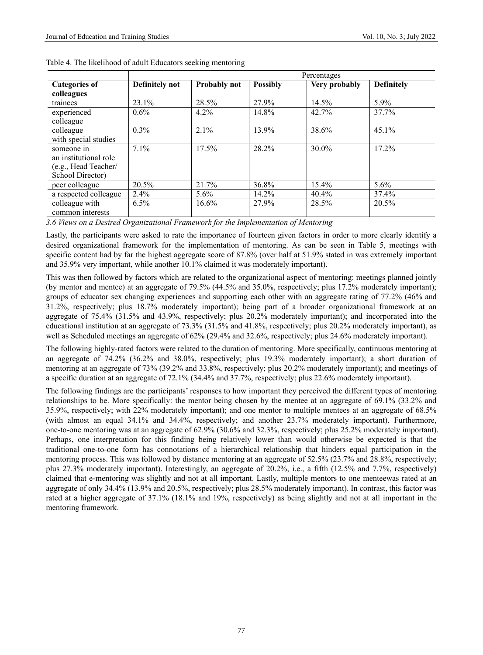|                                                                                 | Percentages    |              |                 |               |                   |  |  |
|---------------------------------------------------------------------------------|----------------|--------------|-----------------|---------------|-------------------|--|--|
| <b>Categories of</b><br>colleagues                                              | Definitely not | Probably not | <b>Possibly</b> | Very probably | <b>Definitely</b> |  |  |
| trainees                                                                        | 23.1%          | 28.5%        | 27.9%           | 14.5%         | $5.9\%$           |  |  |
| experienced<br>colleague                                                        | $0.6\%$        | 4.2%         | 14.8%           | 42.7%         | 37.7%             |  |  |
| colleague<br>with special studies                                               | $0.3\%$        | 2.1%         | 13.9%           | 38.6%         | 45.1%             |  |  |
| someone in<br>an institutional role<br>(e.g., Head Teacher/<br>School Director) | $7.1\%$        | 17.5%        | 28.2%           | 30.0%         | 17.2%             |  |  |
| peer colleague                                                                  | 20.5%          | 21.7%        | 36.8%           | 15.4%         | 5.6%              |  |  |
| a respected colleague                                                           | 2.4%           | $5.6\%$      | 14.2%           | 40.4%         | 37.4%             |  |  |
| colleague with<br>common interests                                              | 6.5%           | $16.6\%$     | 27.9%           | 28.5%         | 20.5%             |  |  |

|  |  |  | Table 4. The likelihood of adult Educators seeking mentoring |
|--|--|--|--------------------------------------------------------------|
|  |  |  |                                                              |
|  |  |  |                                                              |

*3.6 Views on a Desired Organizational Framework for the Implementation of Mentoring*

Lastly, the participants were asked to rate the importance of fourteen given factors in order to more clearly identify a desired organizational framework for the implementation of mentoring. As can be seen in Table 5, meetings with specific content had by far the highest aggregate score of 87.8% (over half at 51.9% stated in was extremely important and 35.9% very important, while another 10.1% claimed it was moderately important).

This was then followed by factors which are related to the organizational aspect of mentoring: meetings planned jointly (by mentor and mentee) at an aggregate of 79.5% (44.5% and 35.0%, respectively; plus 17.2% moderately important); groups of educator sex changing experiences and supporting each other with an aggregate rating of 77.2% (46% and 31.2%, respectively; plus 18.7% moderately important); being part of a broader organizational framework at an aggregate of 75.4% (31.5% and 43.9%, respectively; plus 20.2% moderately important); and incorporated into the educational institution at an aggregate of 73.3% (31.5% and 41.8%, respectively; plus 20.2% moderately important), as well as Scheduled meetings an aggregate of 62% (29.4% and 32.6%, respectively; plus 24.6% moderately important).

The following highly-rated factors were related to the duration of mentoring. More specifically, continuous mentoring at an aggregate of 74.2% (36.2% and 38.0%, respectively; plus 19.3% moderately important); a short duration of mentoring at an aggregate of 73% (39.2% and 33.8%, respectively; plus 20.2% moderately important); and meetings of a specific duration at an aggregate of 72.1% (34.4% and 37.7%, respectively; plus 22.6% moderately important).

The following findings are the participants' responses to how important they perceived the different types of mentoring relationships to be. More specifically: the mentor being chosen by the mentee at an aggregate of 69.1% (33.2% and 35.9%, respectively; with 22% moderately important); and one mentor to multiple mentees at an aggregate of 68.5% (with almost an equal 34.1% and 34.4%, respectively; and another 23.7% moderately important). Furthermore, one-to-one mentoring was at an aggregate of 62.9% (30.6% and 32.3%, respectively; plus 25.2% moderately important). Perhaps, one interpretation for this finding being relatively lower than would otherwise be expected is that the traditional one-to-one form has connotations of a hierarchical relationship that hinders equal participation in the mentoring process. This was followed by distance mentoring at an aggregate of 52.5% (23.7% and 28.8%, respectively; plus 27.3% moderately important). Interestingly, an aggregate of 20.2%, i.e., a fifth (12.5% and 7.7%, respectively) claimed that e-mentoring was slightly and not at all important. Lastly, multiple mentors to one menteewas rated at an aggregate of only 34.4% (13.9% and 20.5%, respectively; plus 28.5% moderately important). In contrast, this factor was rated at a higher aggregate of 37.1% (18.1% and 19%, respectively) as being slightly and not at all important in the mentoring framework.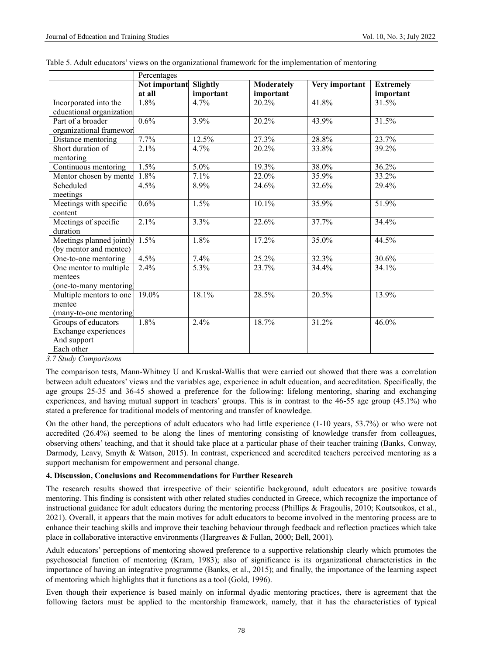|                          | Percentages   |           |            |                |                  |  |  |
|--------------------------|---------------|-----------|------------|----------------|------------------|--|--|
|                          | Not important | Slightly  | Moderately | Very important | <b>Extremely</b> |  |  |
|                          | at all        | important | important  |                | important        |  |  |
| Incorporated into the    | 1.8%          | $4.7\%$   | 20.2%      | 41.8%          | 31.5%            |  |  |
| educational organization |               |           |            |                |                  |  |  |
| Part of a broader        | 0.6%          | 3.9%      | 20.2%      | 43.9%          | 31.5%            |  |  |
| organizational frameworl |               |           |            |                |                  |  |  |
| Distance mentoring       | 7.7%          | 12.5%     | 27.3%      | 28.8%          | 23.7%            |  |  |
| Short duration of        | 2.1%          | 4.7%      | 20.2%      | 33.8%          | 39.2%            |  |  |
| mentoring                |               |           |            |                |                  |  |  |
| Continuous mentoring     | 1.5%          | 5.0%      | 19.3%      | 38.0%          | 36.2%            |  |  |
| Mentor chosen by mente   | 1.8%          | 7.1%      | 22.0%      | 35.9%          | 33.2%            |  |  |
| Scheduled                | 4.5%          | 8.9%      | 24.6%      | 32.6%          | 29.4%            |  |  |
| meetings                 |               |           |            |                |                  |  |  |
| Meetings with specific   | 0.6%          | 1.5%      | 10.1%      | 35.9%          | 51.9%            |  |  |
| content                  |               |           |            |                |                  |  |  |
| Meetings of specific     | 2.1%          | 3.3%      | 22.6%      | 37.7%          | 34.4%            |  |  |
| duration                 |               |           |            |                |                  |  |  |
| Meetings planned jointly | 1.5%          | 1.8%      | 17.2%      | 35.0%          | 44.5%            |  |  |
| (by mentor and mentee)   |               |           |            |                |                  |  |  |
| One-to-one mentoring     | 4.5%          | 7.4%      | 25.2%      | 32.3%          | 30.6%            |  |  |
| One mentor to multiple   | 2.4%          | 5.3%      | 23.7%      | 34.4%          | 34.1%            |  |  |
| mentees                  |               |           |            |                |                  |  |  |
| (one-to-many mentoring)  |               |           |            |                |                  |  |  |
| Multiple mentors to one  | 19.0%         | 18.1%     | 28.5%      | 20.5%          | 13.9%            |  |  |
| mentee                   |               |           |            |                |                  |  |  |
| (many-to-one mentoring)  |               |           |            |                |                  |  |  |
| Groups of educators      | 1.8%          | 2.4%      | 18.7%      | 31.2%          | 46.0%            |  |  |
| Exchange experiences     |               |           |            |                |                  |  |  |
| And support              |               |           |            |                |                  |  |  |
| Each other               |               |           |            |                |                  |  |  |

| Table 5. Adult educators' views on the organizational framework for the implementation of mentoring |  |  |  |
|-----------------------------------------------------------------------------------------------------|--|--|--|
|                                                                                                     |  |  |  |

*3.7 Study Comparisons* 

The comparison tests, Mann-Whitney U and Kruskal-Wallis that were carried out showed that there was a correlation between adult educators' views and the variables age, experience in adult education, and accreditation. Specifically, the age groups 25-35 and 36-45 showed a preference for the following: lifelong mentoring, sharing and exchanging experiences, and having mutual support in teachers' groups. This is in contrast to the 46-55 age group (45.1%) who stated a preference for traditional models of mentoring and transfer of knowledge.

On the other hand, the perceptions of adult educators who had little experience (1-10 years, 53.7%) or who were not accredited (26.4%) seemed to be along the lines of mentoring consisting of knowledge transfer from colleagues, observing others' teaching, and that it should take place at a particular phase of their teacher training (Banks, Conway, Darmody, Leavy, Smyth & Watson, 2015). In contrast, experienced and accredited teachers perceived mentoring as a support mechanism for empowerment and personal change.

## **4. Discussion, Conclusions and Recommendations for Further Research**

The research results showed that irrespective of their scientific background, adult educators are positive towards mentoring. This finding is consistent with other related studies conducted in Greece, which recognize the importance of instructional guidance for adult educators during the mentoring process (Phillips & Fragoulis, 2010; Koutsoukos, et al., 2021). Overall, it appears that the main motives for adult educators to become involved in the mentoring process are to enhance their teaching skills and improve their teaching behaviour through feedback and reflection practices which take place in collaborative interactive environments (Hargreaves & Fullan, 2000; Bell, 2001).

Adult educators' perceptions of mentoring showed preference to a supportive relationship clearly which promotes the psychosocial function of mentoring (Kram, 1983); also of significance is its organizational characteristics in the importance of having an integrative programme (Banks, et al., 2015); and finally, the importance of the learning aspect of mentoring which highlights that it functions as a tool (Gold, 1996).

Even though their experience is based mainly on informal dyadic mentoring practices, there is agreement that the following factors must be applied to the mentorship framework, namely, that it has the characteristics of typical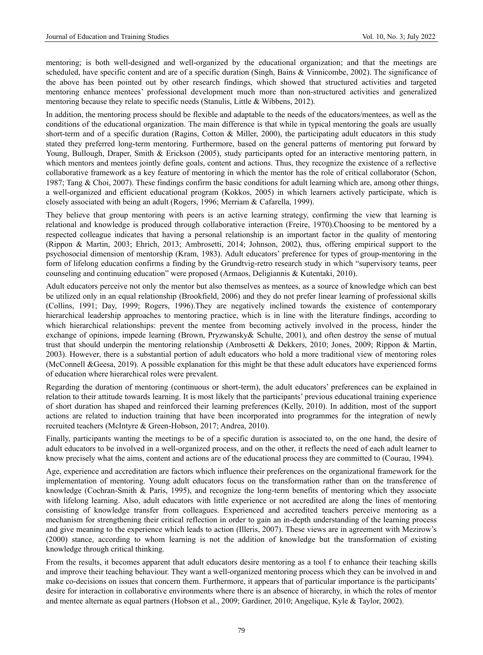mentoring; is both well-designed and well-organized by the educational organization; and that the meetings are scheduled, have specific content and are of a specific duration (Singh, Bains & Vinnicombe, 2002). The significance of the above has been pointed out by other research findings, which showed that structured activities and targeted mentoring enhance mentees' professional development much more than non-structured activities and generalized mentoring because they relate to specific needs (Stanulis, Little & Wibbens, 2012).

In addition, the mentoring process should be flexible and adaptable to the needs of the educators/mentees, as well as the conditions of the educational organization. The main difference is that while in typical mentoring the goals are usually short-term and of a specific duration (Ragins, Cotton & Miller, 2000), the participating adult educators in this study stated they preferred long-term mentoring. Furthermore, based on the general patterns of mentoring put forward by Young, Bullough, Draper, Smith & Erickson (2005), study participants opted for an interactive mentoring pattern, in which mentors and mentees jointly define goals, content and actions. Thus, they recognize the existence of a reflective collaborative framework as a key feature of mentoring in which the mentor has the role of critical collaborator (Schon, 1987; Tang & Choi, 2007). These findings confirm the basic conditions for adult learning which are, among other things, a well-organized and efficient educational program (Kokkos, 2005) in which learners actively participate, which is closely associated with being an adult (Rogers, 1996; Merriam & Cafarella, 1999).

They believe that group mentoring with peers is an active learning strategy, confirming the view that learning is relational and knowledge is produced through collaborative interaction (Freire, 1970).Choosing to be mentored by a respected colleague indicates that having a personal relationship is an important factor in the quality of mentoring (Rippon & Martin, 2003; Ehrich, 2013; Ambrosetti, 2014; Johnson, 2002), thus, offering empirical support to the psychosocial dimension of mentorship (Kram, 1983). Adult educators' preference for types of group-mentoring in the form of lifelong education confirms a finding by the Grundtvig-retro research study in which "supervisory teams, peer counseling and continuing education" were proposed (Armaos, Deligiannis & Kutentaki, 2010).

Adult educators perceive not only the mentor but also themselves as mentees, as a source of knowledge which can best be utilized only in an equal relationship (Brookfield, 2006) and they do not prefer linear learning of professional skills (Collins, 1991; Day, 1999; Rogers, 1996).They are negatively inclined towards the existence of contemporary hierarchical leadership approaches to mentoring practice, which is in line with the literature findings, according to which hierarchical relationships: prevent the mentee from becoming actively involved in the process, hinder the exchange of opinions, impede learning (Brown, Pryzwansky& Schulte, 2001), and often destroy the sense of mutual trust that should underpin the mentoring relationship (Ambrosetti & Dekkers, 2010; Jones, 2009; Rippon & Martin, 2003). However, there is a substantial portion of adult educators who hold a more traditional view of mentoring roles (McConnell &Geesa, 2019). A possible explanation for this might be that these adult educators have experienced forms of education where hierarchical roles were prevalent.

Regarding the duration of mentoring (continuous or short-term), the adult educators' preferences can be explained in relation to their attitude towards learning. It is most likely that the participants' previous educational training experience of short duration has shaped and reinforced their learning preferences (Kelly, 2010). In addition, most of the support actions are related to induction training that have been incorporated into programmes for the integration of newly recruited teachers (McIntyre & Green-Hobson, 2017; Andrea, 2010).

Finally, participants wanting the meetings to be of a specific duration is associated to, on the one hand, the desire of adult educators to be involved in a well-organized process, and on the other, it reflects the need of each adult learner to know precisely what the aims, content and actions are of the educational process they are committed to (Courau, 1994).

Age, experience and accreditation are factors which influence their preferences on the organizational framework for the implementation of mentoring. Young adult educators focus on the transformation rather than on the transference of knowledge (Cochran-Smith & Paris, 1995), and recognize the long-term benefits of mentoring which they associate with lifelong learning. Also, adult educators with little experience or not accredited are along the lines of mentoring consisting of knowledge transfer from colleagues. Experienced and accredited teachers perceive mentoring as a mechanism for strengthening their critical reflection in order to gain an in-depth understanding of the learning process and give meaning to the experience which leads to action (Illeris, 2007). These views are in agreement with Mezirow's (2000) stance, according to whom learning is not the addition of knowledge but the transformation of existing knowledge through critical thinking.

From the results, it becomes apparent that adult educators desire mentoring as a tool f to enhance their teaching skills and improve their teaching behaviour. They want a well-organized mentoring process which they can be involved in and make co-decisions on issues that concern them. Furthermore, it appears that of particular importance is the participants' desire for interaction in collaborative environments where there is an absence of hierarchy, in which the roles of mentor and mentee alternate as equal partners (Hobson et al., 2009; Gardiner, 2010; Angelique, Kyle & Taylor, 2002).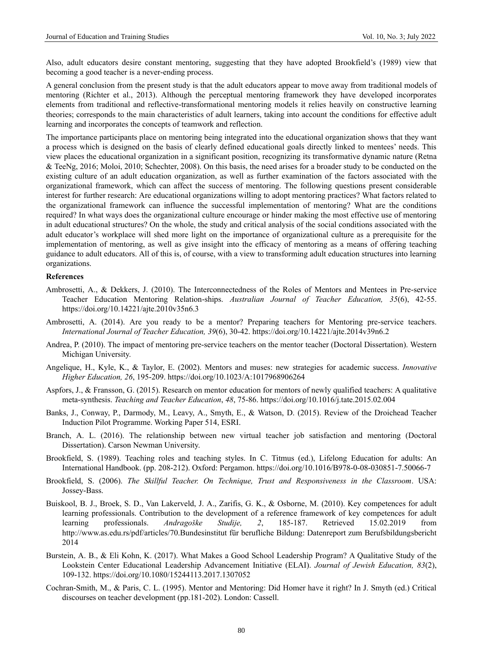Also, adult educators desire constant mentoring, suggesting that they have adopted Brookfield's (1989) view that becoming a good teacher is a never-ending process.

A general conclusion from the present study is that the adult educators appear to move away from traditional models of mentoring (Richter et al., 2013). Although the perceptual mentoring framework they have developed incorporates elements from traditional and reflective-transformational mentoring models it relies heavily on constructive learning theories; corresponds to the main characteristics of adult learners, taking into account the conditions for effective adult learning and incorporates the concepts of teamwork and reflection.

The importance participants place on mentoring being integrated into the educational organization shows that they want a process which is designed on the basis of clearly defined educational goals directly linked to mentees' needs. This view places the educational organization in a significant position, recognizing its transformative dynamic nature (Retna & TeeNg, 2016; Moloi, 2010; Schechter, 2008). On this basis, the need arises for a broader study to be conducted on the existing culture of an adult education organization, as well as further examination of the factors associated with the organizational framework, which can affect the success of mentoring. The following questions present considerable interest for further research: Are educational organizations willing to adopt mentoring practices? What factors related to the organizational framework can influence the successful implementation of mentoring? What are the conditions required? In what ways does the organizational culture encourage or hinder making the most effective use of mentoring in adult educational structures? On the whole, the study and critical analysis of the social conditions associated with the adult educator's workplace will shed more light on the importance of organizational culture as a prerequisite for the implementation of mentoring, as well as give insight into the efficacy of mentoring as a means of offering teaching guidance to adult educators. All of this is, of course, with a view to transforming adult education structures into learning organizations.

## **References**

- Ambrosetti, A., & Dekkers, J. (2010). The Interconnectedness of the Roles of Mentors and Mentees in Pre-service Teacher Education Mentoring Relation-ships. *Australian Journal of Teacher Education, 35*(6), 42-55. <https://doi.org/10.14221/ajte.2010v35n6.3>
- Ambrosetti, A. (2014). Are you ready to be a mentor? Preparing teachers for Mentoring pre-service teachers. *International Journal of Teacher Education, 39*(6), 30-42.<https://doi.org/10.14221/ajte.2014v39n6.2>
- Andrea, P. (2010). The impact of mentoring pre-service teachers on the mentor teacher (Doctoral Dissertation). Western Michigan University.
- Angelique, H., Kyle, K., & Taylor, E. (2002). Mentors and muses: new strategies for academic success. *Innovative Higher Education, 26*, 195-209. <https://doi.org/10.1023/A:1017968906264>
- Aspfors, J., & Fransson, G. (2015). Research on mentor education for mentors of newly qualified teachers: A qualitative meta-synthesis. *Teaching and Teacher Education*, *48*, 75-86. <https://doi.org/10.1016/j.tate.2015.02.004>
- Banks, J., Conway, P., Darmody, M., Leavy, A., Smyth, E., & Watson, D. (2015). Review of the Droichead Teacher Induction Pilot Programme. Working Paper 514, ESRI.
- Branch, A. L. (2016). The relationship between new virtual teacher job satisfaction and mentoring (Doctoral Dissertation). Carson Newman University.
- Brookfield, S. (1989). Teaching roles and teaching styles. In C. Titmus (ed.), Lifelong Education for adults: An International Handbook. (pp. 208-212). Oxford: Pergamon.<https://doi.org/10.1016/B978-0-08-030851-7.50066-7>
- Brookfield, S. (2006). *The Skillful Teacher. On Technique, Trust and Responsiveness in the Classroom*. USA: Jossey-Bass.
- Buiskool, B. J., Broek, S. D., Van Lakerveld, J. A., Zarifis, G. K., & Osborne, M. (2010). Key competences for adult learning professionals. Contribution to the development of a reference framework of key competences for adult learning professionals. *Andragoške Studije, 2*, 185-187. Retrieved 15.02.2019 from <http://www.as.edu.rs/pdf/articles/70.Bundesinstitut> für berufliche Bildung: Datenreport zum Berufsbildungsbericht 2014
- Burstein, Α. Β., & Eli Kohn, Κ. (2017). What Makes a Good School Leadership Program? A Qualitative Study of the Lookstein Center Educational Leadership Advancement Initiative (ELAI). *Journal of Jewish Education, 83*(2), 109-132. <https://doi.org/10.1080/15244113.2017.1307052>
- Cochran-Smith, M., & Paris, C. L. (1995). Mentor and Mentoring: Did Homer have it right? In J. Smyth (ed.) Critical discourses on teacher development (pp.181-202). London: Cassell.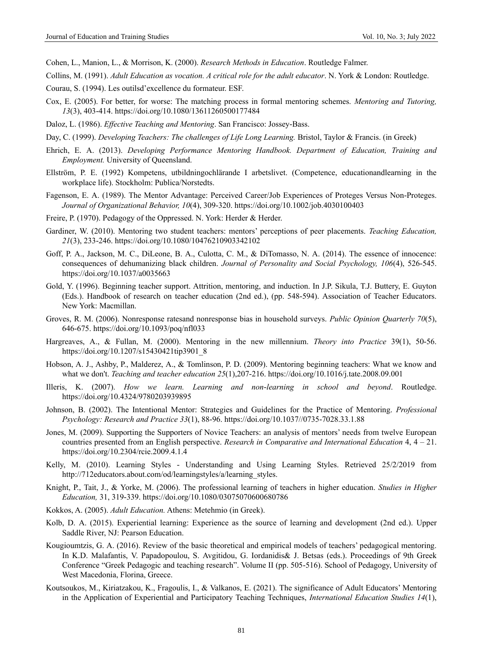Cohen, L., Manion, L., & Morrison, K. (2000). *Research Methods in Education*. Routledge Falmer.

- Collins, M. (1991). *Adult Education as vocation. A critical role for the adult educator*. N. York & London: Routledge.
- Courau, S. (1994). Les outilsd'excellence du formateur. ESF.
- Cox, E. (2005). For better, for worse: The matching process in formal mentoring schemes. *Mentoring and Tutoring, 13*(3), 403-414. <https://doi.org/10.1080/13611260500177484>
- Daloz, L. (1986). *Effective Teaching and Mentoring*. San Francisco: Jossey-Bass.
- Day, C. (1999). *Developing Teachers: The challenges of Life Long Learning.* Bristol, Taylor & Francis. (in Greek)
- Ehrich, E. A. (2013). *Developing Performance Mentoring Handbook. Department of Education, Training and Employment.* University of Queensland.
- Ellström, P. E. (1992) Kompetens, utbildningochlärande I arbetslivet. (Competence, educationandlearning in the workplace life). Stockholm: Publica/Norstedts.
- Fagenson, Ε. Α. (1989). The Mentor Advantage: Perceived Career/Job Experiences of Proteges Versus Non-Proteges. *Journal of Organizational Behavior, 10*(4), 309-320.<https://doi.org/10.1002/job.4030100403>
- Freire, P. (1970). Pedagogy of the Oppressed. N. York: Herder & Herder.
- Gardiner, W. (2010). Mentoring two student teachers: mentors' perceptions of peer placements. *Teaching Education, 21*(3), 233-246. <https://doi.org/10.1080/10476210903342102>
- Goff, P. A., Jackson, M. C., DiLeone, B. A., Culotta, C. M., & DiTomasso, N. A. (2014). The essence of innocence: consequences of dehumanizing black children. *Journal of Personality and Social Psychology, 106*(4), 526-545. <https://doi.org/10.1037/a0035663>
- Gold, Υ. (1996). Beginning teacher support. Attrition, mentoring, and induction. In J.P. Sikula, T.J. Buttery, E. Guyton (Eds.). Handbook of research on teacher education (2nd ed.), (pp. 548-594). Association of Teacher Educators. New York: Macmillan.
- Groves, R. M. (2006). Nonresponse ratesand nonresponse bias in household surveys. *Public Opinion Quarterly 70*(5), 646-675.<https://doi.org/10.1093/poq/nfl033>
- Hargreaves, A., & Fullan, M. (2000). Mentoring in the new millennium. *Theory into Practice* 39(1), 50-56. [https://doi.org/10.1207/s15430421tip3901\\_8](https://doi.org/10.1207/s15430421tip3901_8)
- Hobson, A. J., Ashby, P., Malderez, A., & Tomlinson, P. D. (2009). Mentoring beginning teachers: What we know and what we don't. *Teaching and teacher education 25*(1),207-216[. https://doi.org/10.1016/j.tate.2008.09.001](https://doi.org/10.1016/j.tate.2008.09.001)
- Illeris, K. (2007). *How we learn. Learning and non-learning in school and beyond*. Routledge. <https://doi.org/10.4324/9780203939895>
- Johnson, B. (2002). The Intentional Mentor: Strategies and Guidelines for the Practice of Mentoring. *Professional Psychology: Research and Practice 33*(1), 88-96. [https://doi.org/10.1037//0735-7028.33.1.88](https://doi.org/10.1037/0735-7028.33.1.88)
- Jones, M. (2009). Supporting the Supporters of Novice Teachers: an analysis of mentors' needs from twelve European countries presented from an English perspective. *Research in Comparative and International Education* 4, 4 – 21. <https://doi.org/10.2304/rcie.2009.4.1.4>
- Kelly, M. (2010). Learning Styles Understanding and Using Learning Styles. Retrieved 25/2/2019 from http://712educators.about.com/od/learningstyles/a/learning\_styles.
- Knight, P., Tait, J., & Yorke, M. (2006). The professional learning of teachers in higher education. *Studies in Higher Education,* 31, 319-339.<https://doi.org/10.1080/03075070600680786>
- Kokkos, A. (2005). *Adult Education.* Athens: Metehmio (in Greek).
- Kolb, D. A. (2015). Experiential learning: Experience as the source of learning and development (2nd ed.). Upper Saddle River, NJ: Pearson Education.
- Kougioumtzis, G. A. (2016). Review of the basic theoretical and empirical models of teachers' pedagogical mentoring. In K.D. Malafantis, V. Papadopoulou, S. Avgitidou, G. Iordanidis& J. Betsas (eds.). Proceedings of 9th Greek Conference "Greek Pedagogic and teaching research". Volume II (pp. 505-516). School of Pedagogy, University of West Macedonia, Florina, Greece.
- Koutsoukos, M., Kiriatzakou, K., Fragoulis, I., & Valkanos, E. (2021). The significance of Adult Educators' Mentoring in the Application of Experiential and Participatory Teaching Techniques, *International Education Studies 14*(1),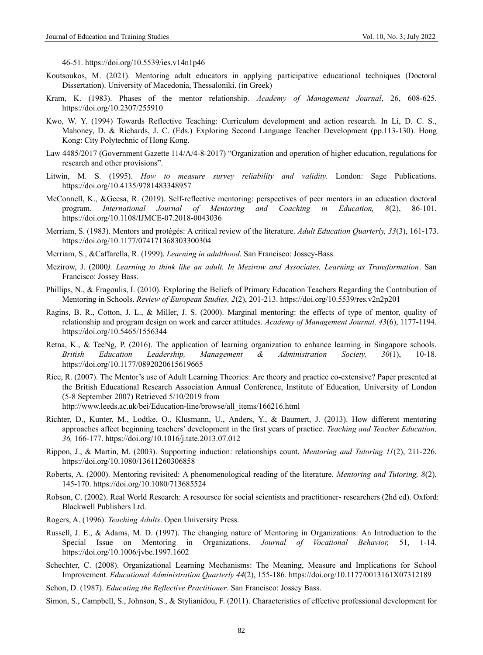46-51.<https://doi.org/10.5539/ies.v14n1p46>

- Koutsoukos, M. (2021). Mentoring adult educators in applying participative educational techniques (Doctoral Dissertation). University of Macedonia, Thessaloniki. (in Greek)
- Kram, K. (1983). Phases of the mentor relationship. *Academy of Management Journal*, 26, 608-625. <https://doi.org/10.2307/255910>
- Kwo, W. Y. (1994) Towards Reflective Teaching: Curriculum development and action research. In Li, D. C. S., Mahoney, D. & Richards, J. C. (Eds.) Exploring Second Language Teacher Development (pp.113-130). Hong Kong: City Polytechnic of Hong Kong.
- Law 4485/2017 (Government Gazette 114/Α/4-8-2017) "Organization and operation of higher education, regulations for research and other provisions".
- Litwin, Μ. S. (1995). *How to measure survey reliability and validity.* London: Sage Publications. <https://doi.org/10.4135/9781483348957>
- McConnell, K., &Geesa, R. (2019). Self-reflective mentoring: perspectives of peer mentors in an education doctoral program. *International Journal of Mentoring and Coaching in Education, 8*(2), 86-101. <https://doi.org/10.1108/IJMCE-07.2018-0043036>
- Merriam, S. (1983). Mentors and protégés: A critical review of the literature. *Adult Education Quarterly, 33*(3), 161-173. <https://doi.org/10.1177/074171368303300304>
- Merriam, S., &Caffarella, R. (1999). *Learning in adulthood*. San Francisco: Jossey-Bass.
- Mezirow, J. (2000*). Learning to think like an adult. In Mezirow and Associates, Learning as Transformation*. San Francisco: Jossey Bass.
- Phillips, N., & Fragoulis, I. (2010). Exploring the Beliefs of Primary Education Teachers Regarding the Contribution of Mentoring in Schools. *Review of European Studies, 2*(2), 201-213[. https://doi.org/10.5539/res.v2n2p201](https://doi.org/10.5539/res.v2n2p201)
- Ragins, B. R., Cotton, J. L., & Miller, J. S. (2000). Marginal mentoring: the effects of type of mentor, quality of relationship and program design on work and career attitudes. *Academy of Management Journal, 43*(6), 1177-1194. <https://doi.org/10.5465/1556344>
- Retna, Κ., & TeeNg, P. (2016). The application of learning organization to enhance learning in Singapore schools. *British Education Leadership, Management & Administration Society, 30*(1), 10-18. <https://doi.org/10.1177/0892020615619665>
- Rice, R. (2007). The Mentor's use of Adult Learning Theories: Are theory and practice co-extensive? Paper presented at the British Educational Research Association Annual Conference, Institute of Education, University of London (5-8 September 2007) Retrieved 5/10/2019 from http://www.leeds.ac.uk/bei/Education-line/browse/all\_items/166216.html
- Richter, D., Kunter, M., Lodtke, O., Klusmann, U., Anders, Y., & Baumert, J. (2013). How different mentoring approaches affect beginning teachers' development in the first years of practice. *Teaching and Teacher Education, 36,* 166-177.<https://doi.org/10.1016/j.tate.2013.07.012>
- Rippon, J., & Martin, M. (2003). Supporting induction: relationships count. *Mentoring and Tutoring 11*(2), 211-226. <https://doi.org/10.1080/13611260306858>
- Roberts, A. (2000). Mentoring revisited: A phenomenological reading of the literature. *Mentoring and Tutoring, 8*(2), 145-170.<https://doi.org/10.1080/713685524>
- Robson, C. (2002). Real World Research: A resoursce for social scientists and practitioner- researchers (2hd ed). Oxford: Blackwell Publishers Ltd.
- Rogers, A. (1996). *Teaching Adults*. Open University Press.
- Russell, J. E., & Adams, M. D. (1997). The changing nature of Mentoring in Organizations: An Introduction to the Special Issue on Mentoring in Organizations. *Journal of Vocational Behavior,* 51, 1-14. <https://doi.org/10.1006/jvbe.1997.1602>
- Schechter, C. (2008). Organizational Learning Mechanisms: The Meaning, Measure and Implications for School Improvement. *Educational Administration Quarterly 44*(2), 155-186.<https://doi.org/10.1177/0013161X07312189>
- Schon, D. (1987). *Educating the Reflective Practitioner*. San Francisco: Jossey Bass.
- Simon, S., Campbell, S., Johnson, S., & Stylianidou, F. (2011). Characteristics of effective professional development for